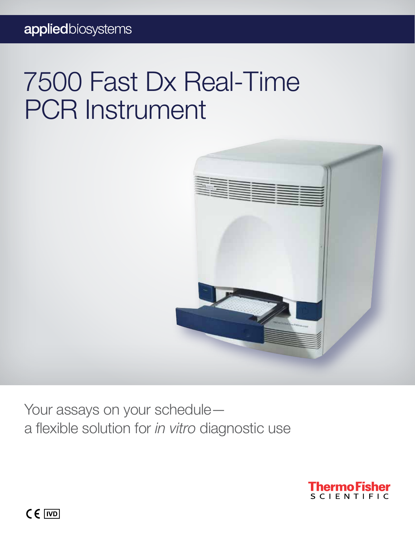# 7500 Fast Dx Real-Time PCR Instrument



Your assays on your schedule a flexible solution for *in vitro* diagnostic use



 $C \in \overline{IVD}$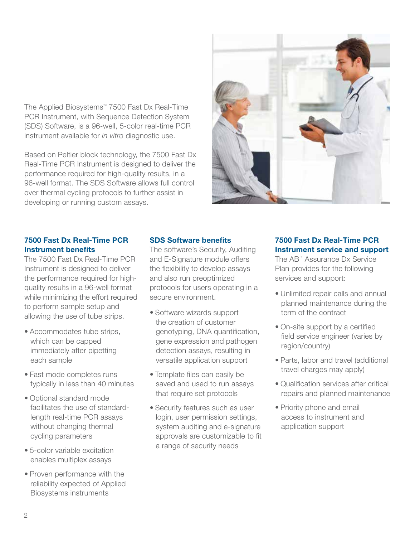The Applied Biosystems™ 7500 Fast Dx Real-Time PCR Instrument, with Sequence Detection System (SDS) Software, is a 96-well, 5-color real-time PCR instrument available for *in vitro* diagnostic use.

Based on Peltier block technology, the 7500 Fast Dx Real-Time PCR Instrument is designed to deliver the performance required for high-quality results, in a 96-well format. The SDS Software allows full control over thermal cycling protocols to further assist in developing or running custom assays.



### 7500 Fast Dx Real-Time PCR Instrument benefits

The 7500 Fast Dx Real-Time PCR Instrument is designed to deliver the performance required for highquality results in a 96-well format while minimizing the effort required to perform sample setup and allowing the use of tube strips.

- Accommodates tube strips, which can be capped immediately after pipetting each sample
- Fast mode completes runs typically in less than 40 minutes
- Optional standard mode facilitates the use of standardlength real-time PCR assays without changing thermal cycling parameters
- 5-color variable excitation enables multiplex assays
- Proven performance with the reliability expected of Applied Biosystems instruments

### SDS Software benefits

The software's Security, Auditing and E-Signature module offers the flexibility to develop assays and also run preoptimized protocols for users operating in a secure environment.

- Software wizards support the creation of customer genotyping, DNA quantification, gene expression and pathogen detection assays, resulting in versatile application support
- Template files can easily be saved and used to run assays that require set protocols
- Security features such as user login, user permission settings, system auditing and e-signature approvals are customizable to fit a range of security needs

### 7500 Fast Dx Real-Time PCR Instrument service and support

The AB™ Assurance Dx Service Plan provides for the following services and support:

- Unlimited repair calls and annual planned maintenance during the term of the contract
- On-site support by a certified field service engineer (varies by region/country)
- Parts, labor and travel (additional travel charges may apply)
- Qualification services after critical repairs and planned maintenance
- Priority phone and email access to instrument and application support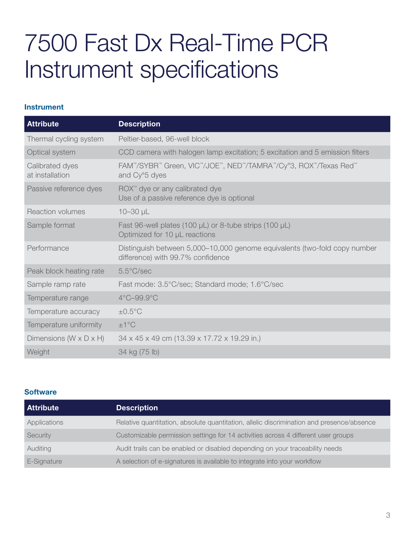## 7500 Fast Dx Real-Time PCR Instrument specifications

### Instrument

| <b>Attribute</b>                   | <b>Description</b>                                                                                             |  |
|------------------------------------|----------------------------------------------------------------------------------------------------------------|--|
| Thermal cycling system             | Peltier-based, 96-well block                                                                                   |  |
| Optical system                     | CCD camera with halogen lamp excitation; 5 excitation and 5 emission filters                                   |  |
| Calibrated dyes<br>at installation | FAM™/SYBR™ Green, VIC™/JOE™, NED™/TAMRA™/Cy®3, ROX™/Texas Red™<br>and Cy®5 dyes                                |  |
| Passive reference dyes             | ROX™ dye or any calibrated dye<br>Use of a passive reference dye is optional                                   |  |
| <b>Reaction volumes</b>            | $10 - 30$ µL                                                                                                   |  |
| Sample format                      | Fast 96-well plates (100 $\mu$ L) or 8-tube strips (100 $\mu$ L)<br>Optimized for 10 µL reactions              |  |
| Performance                        | Distinguish between 5,000-10,000 genome equivalents (two-fold copy number<br>difference) with 99.7% confidence |  |
| Peak block heating rate            | $5.5^{\circ}$ C/sec                                                                                            |  |
| Sample ramp rate                   | Fast mode: 3.5°C/sec; Standard mode; 1.6°C/sec                                                                 |  |
| Temperature range                  | $4^{\circ}$ C-99.9 $^{\circ}$ C                                                                                |  |
| Temperature accuracy               | $\pm 0.5$ °C                                                                                                   |  |
| Temperature uniformity             | ±1°C                                                                                                           |  |
| Dimensions (W x D x H)             | 34 x 45 x 49 cm (13.39 x 17.72 x 19.29 in.)                                                                    |  |
| Weight                             | 34 kg (75 lb)                                                                                                  |  |

### **Software**

| <b>Attribute</b> | <b>Description</b>                                                                        |
|------------------|-------------------------------------------------------------------------------------------|
| Applications     | Relative quantitation, absolute quantitation, allelic discrimination and presence/absence |
| Security         | Customizable permission settings for 14 activities across 4 different user groups         |
| Auditing         | Audit trails can be enabled or disabled depending on your traceability needs              |
| E-Signature      | A selection of e-signatures is available to integrate into your workflow                  |